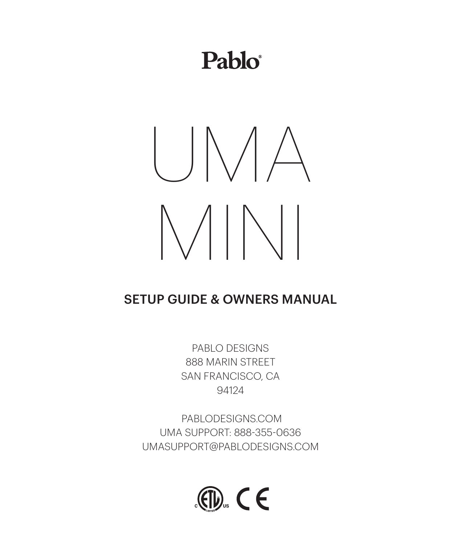## $P<sub>ablo</sub>$



## SETUP GUIDE & OWNERS MANUAL

PABLO DESIGNS 888 MARIN STREET SAN FRANCISCO, CA 94124

 PABLODESIGNS.COM UMA SUPPORT: 888-355-0636 UMASUPPORT@PABLODESIGNS.COM

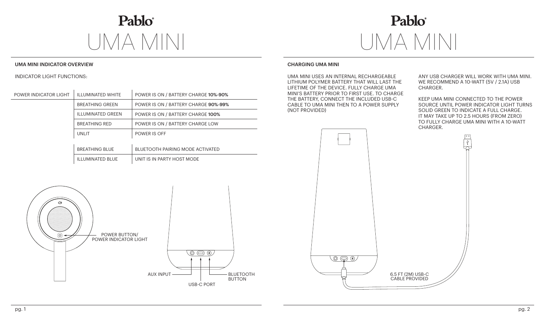## Pablo® UMA MINI UMA MINI

## UMA MINI INDICATOR OVERVIEW

INDICATOR LIGHT FUNCTIONS:

| POWER INDICATOR LIGHT | <b>ILLUMINATED WHITE</b> | POWER IS ON / BATTERY CHARGE 10%-90% |
|-----------------------|--------------------------|--------------------------------------|
|                       | <b>BREATHING GREEN</b>   | POWER IS ON / BATTERY CHARGE 90%-99% |
|                       | <b>ILLUMINATED GREEN</b> | POWER IS ON / BATTERY CHARGE 100%    |
|                       | <b>BREATHING RED</b>     | POWER IS ON / BATTERY CHARGE LOW     |
|                       | UNLIT                    | POWER IS OFF                         |
|                       |                          |                                      |
|                       | <b>BREATHING BLUE</b>    | BLUETOOTH PAIRING MODE ACTIVATED     |
|                       | <b>ILLUMINATED BLUE</b>  | UNIT IS IN PARTY HOST MODE           |



## CHARGING UMA MINI

UMA MINI USES AN INTERNAL RECHARGEABLE LITHIUM POLYMER BATTERY THAT WILL LAST THE LIFETIME OF THE DEVICE. FULLY CHARGE UMA MINI'S BATTERY PRIOR TO FIRST USE. TO CHARGE THE BATTERY, CONNECT THE INCLUDED USB-C CABLE TO UMA MINI THEN TO A POWER SUPPLY (NOT PROVIDED)

ANY USB CHARGER WILL WORK WITH UMA MINI. WE RECOMMEND A 10-WATT (5V / 2.1A) USB CHARGER.

KEEP UMA MINI CONNECTED TO THE POWER SOURCE UNTIL POWER INDICATOR LIGHT TURNS SOLID GREEN TO INDICATE A FULL CHARGE. IT MAY TAKE UP TO 2.5 HOURS (FROM ZERO) TO FULLY CHARGE UMA MINI WITH A 10-WATT CHARGER.



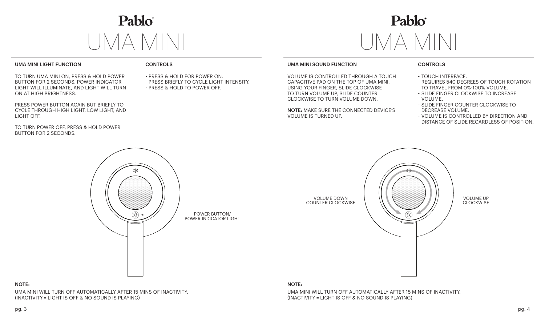

# Pablo®

 $\circledR$ 

## UMA MINI LIGHT FUNCTION

TO TURN UMA MINI ON, PRESS & HOLD POWER BUTTON FOR 2 SECONDS. POWER INDICATOR LIGHT WILL ILLUMINATE, AND LIGHT WILL TURN ON AT HIGH BRIGHTNESS.

PRESS POWER BUTTON AGAIN BUT BRIEFLY TO CYCLE THROUGH HIGH LIGHT, LOW LIGHT, AND LIGHT OFF.

TO TURN POWER OFF, PRESS & HOLD POWER BUTTON FOR 2 SECONDS.

## CONTROLS

- PRESS & HOLD FOR POWER ON.
- PRESS BRIEFLY TO CYCLE LIGHT INTENSITY.
- PRESS & HOLD TO POWER OFF.

## UMA MINI SOUND FUNCTION

VOLUME IS CONTROLLED THROUGH A TOUCH CAPACITIVE PAD ON THE TOP OF UMA MINI. USING YOUR FINGER, SLIDE CLOCKWISE TO TURN VOLUME UP, SLIDE COUNTER CLOCKWISE TO TURN VOLUME DOWN.

NOTE: MAKE SURE THE CONNECTED DEVICE'S VOLUME IS TURNED UP.

> VOLUME DOWN COUNTER CLOCKWISE

## CONTROLS

- TOUCH INTERFACE.
- REQUIRES 540 DEGREES OF TOUCH ROTATION TO TRAVEL FROM 0%-100% VOLUME.
- SLIDE FINGER CLOCKWISE TO INCREASE VOLUME.
- SLIDE FINGER COUNTER CLOCKWISE TO DECREASE VOLUME.
- VOLUME IS CONTROLLED BY DIRECTION AND DISTANCE OF SLIDE REGARDLESS OF POSITION.

VOLUME UP CLOCKWISE



## NOTE:

UMA MINI WILL TURN OFF AUTOMATICALLY AFTER 15 MINS OF INACTIVITY. (INACTIVITY = LIGHT IS OFF & NO SOUND IS PLAYING)

## NOTE:

UMA MINI WILL TURN OFF AUTOMATICALLY AFTER 15 MINS OF INACTIVITY. (INACTIVITY = LIGHT IS OFF & NO SOUND IS PLAYING)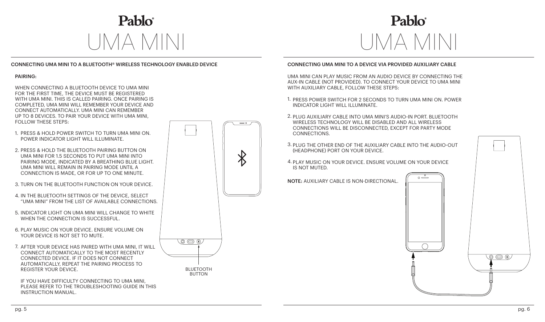

## CONNECTING UMA MINI TO A BLUETOOTH® WIRELESS TECHNOLOGY ENABLED DEVICE

### PAIRING:

WHEN CONNECTING A BLUETOOTH DEVICE TO UMA MINI FOR THE FIRST TIME, THE DEVICE MUST BE REGISTERED WITH UMA MINI. THIS IS CALLED PAIRING. ONCE PAIRING IS COMPLETED, UMA MINI WILL REMEMBER YOUR DEVICE AND CONNECT AUTOMATICALLY. UMA MINI CAN REMEMBER UP TO 8 DEVICES. TO PAIR YOUR DEVICE WITH UMA MINI, FOLLOW THESE STEPS:

- 1. PRESS & HOLD POWER SWITCH TO TURN UMA MINI ON. POWER INDICATOR LIGHT WILL ILLUMINATE.
- 2. PRESS & HOLD THE BLUETOOTH PAIRING BUTTON ON UMA MINI FOR 1.5 SECONDS TO PUT UMA MINI INTO PAIRING MODE, INDICATED BY A BREATHING BLUE LIGHT. UMA MINI WILL REMAIN IN PAIRING MODE UNTIL A CONNECTION IS MADE, OR FOR UP TO ONE MINUTE.
- 3. TURN ON THE BLUETOOTH FUNCTION ON YOUR DEVICE.
- 4. IN THE BLUETOOTH SETTINGS OF THE DEVICE, SELECT "UMA MINI" FROM THE LIST OF AVAILABLE CONNECTIONS.
- 5. INDICATOR LIGHT ON UMA MINI WILL CHANGE TO WHITE WHEN THE CONNECTION IS SUCCESSEUL.
- 6. PLAY MUSIC ON YOUR DEVICE. ENSURE VOLUME ON YOUR DEVICE IS NOT SET TO MUTE.
- 7. AFTER YOUR DEVICE HAS PAIRED WITH UMA MINI, IT WILL CONNECT AUTOMATICALLY TO THE MOST RECENTLY CONNECTED DEVICE. IF IT DOES NOT CONNECT AUTOMATICALLY, REPEAT THE PAIRING PROCESS TO REGISTER YOUR DEVICE.





BLUETOOTH **BUTTON** 

## $\mathbf{P}$ ablo $\hat{\phantom{a}}$

## CONNECTING UMA MINI TO A DEVICE VIA PROVIDED AUXILIARY CABLE

UMA MINI CAN PLAY MUSIC FROM AN AUDIO DEVICE BY CONNECTING THE AUX-IN CABLE (NOT PROVIDED). TO CONNECT YOUR DEVICE TO UMA MINI WITH AUXILIARY CABLE, FOLLOW THESE STEPS:

- 1. PRESS POWER SWITCH FOR 2 SECONDS TO TURN UMA MINI ON. POWER INDICATOR LIGHT WILL ILLUMINATE.
- 2. PLUG AUXILIARY CABLE INTO UMA MINI'S AUDIO-IN PORT. BLUETOOTH WIRELESS TECHNOLOGY WILL BE DISABLED AND ALL WIRELESS CONNECTIONS WILL BE DISCONNECTED, EXCEPT FOR PARTY MODE CONNECTIONS.
- 3. PLUG THE OTHER END OF THE AUXILIARY CABLE INTO THE AUDIO-OUT (HEADPHONE) PORT ON YOUR DEVICE.
- 4. PLAY MUSIC ON YOUR DEVICE. ENSURE VOLUME ON YOUR DEVICE IS NOT MUTED.

NOTE: AUXILIARY CABLE IS NON-DIRECTIONAL.

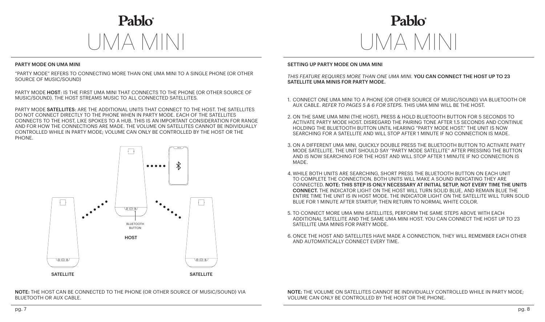$\mathbf{P}$ ahlo $\hat{\phantom{a}}$ UMA MINI UMA MINI

## PARTY MODE ON UMA MINI

"PARTY MODE" REFERS TO CONNECTING MORE THAN ONE UMA MINI TO A SINGLE PHONE (OR OTHER SOURCE OF MUSIC/SOUND)

PARTY MODE HOST: IS THE FIRST UMA MINI THAT CONNECTS TO THE PHONE (OR OTHER SOURCE OF MUSIC/SOUND). THE HOST STREAMS MUSIC TO ALL CONNECTED SATELLITES.

PARTY MODE SATELLITES: ARE THE ADDITIONAL UNITS THAT CONNECT TO THE HOST. THE SATELLITES DO NOT CONNECT DIRECTLY TO THE PHONE WHEN IN PARTY MODE. EACH OF THE SATELLITES CONNECTS TO THE HOST, LIKE SPOKES TO A HUB. THIS IS AN IMPORTANT CONSIDERATION FOR RANGE AND FOR HOW THE CONNECTIONS ARE MADE. THE VOLUME ON SATELLITES CANNOT BE INDIVIDUALLY CONTROLLED WHILE IN PARTY MODE; VOLUME CAN ONLY BE CONTROLLED BY THE HOST OR THE PHONE.



NOTE: THE HOST CAN BE CONNECTED TO THE PHONE (OR OTHER SOURCE OF MUSIC/SOUND) VIA BLUETOOTH OR AUX CABLE.

## $\mathbf{P}$ ablo $\hat{\phantom{a}}$

## SETTING UP PARTY MODE ON UMA MINI

*THIS FEATURE REQUIRES MORE THAN ONE UMA MINI.* YOU CAN CONNECT THE HOST UP TO 23 SATELLITE UMA MINIS FOR PARTY MODE.

- 1. CONNECT ONE UMA MINI TO A PHONE (OR OTHER SOURCE OF MUSIC/SOUND) VIA BLUETOOTH OR AUX CABLE. *REFER TO PAGES 5 & 6 FOR STEPS.* THIS UMA MINI WILL BE THE HOST.
- 2. ON THE SAME UMA MINI (THE HOST), PRESS & HOLD BLUETOOTH BUTTON FOR 5 SECONDS TO ACTIVATE PARTY MODE HOST. DISREGARD THE PAIRING TONE AFTER 1.5 SECONDS AND CONTINUE HOLDING THE BLUETOOTH BUTTON UNTIL HEARING "PARTY MODE HOST." THE UNIT IS NOW SEARCHING FOR A SATELLITE AND WILL STOP AFTER 1 MINUTE IF NO CONNECTION IS MADE.
- 3. ON A DIFFERENT UMA MINI, QUICKLY DOUBLE PRESS THE BLUETOOTH BUTTON TO ACTIVATE PARTY MODE SATELLITE. THE UNIT SHOULD SAY "PARTY MODE SATELLITE" AFTER PRESSING THE BUTTON AND IS NOW SEARCHING FOR THE HOST AND WILL STOP AFTER 1 MINUTE IF NO CONNECTION IS MADE.
- 4. WHILE BOTH UNITS ARE SEARCHING, SHORT PRESS THE BLUETOOTH BUTTON ON EACH UNIT TO COMPLETE THE CONNECTION. BOTH UNITS WILL MAKE A SOUND INDICATING THEY ARE CONNECTED. NOTE: THIS STEP IS ONLY NECESSARY AT INITIAL SETUP, NOT EVERY TIME THE UNITS CONNECT. THE INDICATOR LIGHT ON THE HOST WILL TURN SOLID BLUE, AND REMAIN BLUE THE ENTIRE TIME THE UNIT IS IN HOST MODE. THE INDICATOR LIGHT ON THE SATELLITE WILL TURN SOLID BLUE FOR 1 MINUTE AFTER STARTUP, THEN RETURN TO NORMAL WHITE COLOR.
- 5. TO CONNECT MORE UMA MINI SATELLITES, PERFORM THE SAME STEPS ABOVE WITH EACH ADDITIONAL SATELLITE AND THE SAME UMA MINI HOST. YOU CAN CONNECT THE HOST UP TO 23 SATELLITE UMA MINIS FOR PARTY MODE.
- 6. ONCE THE HOST AND SATELLITES HAVE MADE A CONNECTION, THEY WILL REMEMBER EACH OTHER AND AUTOMATICALLY CONNECT EVERY TIME.

NOTE: THE VOLUME ON SATELLITES CANNOT BE INDIVIDUALLY CONTROLLED WHILE IN PARTY MODE; VOLUME CAN ONLY BE CONTROLLED BY THE HOST OR THE PHONE.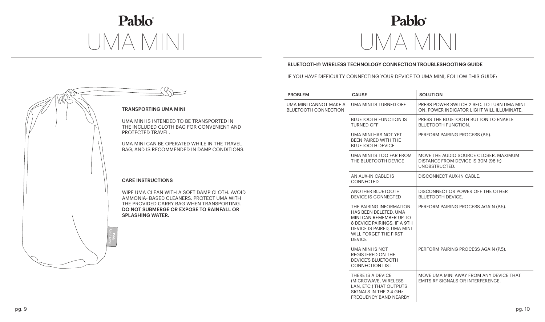# Pablo®

## Pablo® UMA MINI UMA MINI

## BLUETOOTH© WIRELESS TECHNOLOGY CONNECTION TROUBLESHOOTING GUIDE

IF YOU HAVE DIFFICULTY CONNECTING YOUR DEVICE TO UMA MINI, FOLLOW THIS GUIDE:



| <b>PROBLEM</b>                                        | <b>CAUSE</b>                                                                                                                                                                       | <b>SOLUTION</b>                                                                               |
|-------------------------------------------------------|------------------------------------------------------------------------------------------------------------------------------------------------------------------------------------|-----------------------------------------------------------------------------------------------|
| UMA MINI CANNOT MAKE A<br><b>BLUETOOTH CONNECTION</b> | UMA MINI IS TURNED OFF                                                                                                                                                             | PRESS POWER SWITCH 2 SEC. TO TURN UMA MINI<br>ON. POWER INDICATOR LIGHT WILL ILLUMINATE.      |
|                                                       | <b>BLUETOOTH FUNCTION IS</b><br><b>TURNED OFF</b>                                                                                                                                  | PRESS THE BLUETOOTH BUTTON TO ENABLE<br><b>BLUETOOTH FUNCTION.</b>                            |
|                                                       | UMA MINI HAS NOT YET<br>BEEN PAIRED WITH THE<br><b>BLUETOOTH DEVICE</b>                                                                                                            | PERFORM PAIRING PROCESS (P.5).                                                                |
|                                                       | UMA MINI IS TOO FAR FROM<br>THE BLUETOOTH DEVICE                                                                                                                                   | MOVE THE AUDIO SOURCE CLOSER, MAXIMUM<br>DISTANCE FROM DEVICE IS 30M (98 ft)<br>UNOBSTRUCTED. |
|                                                       | AN AUX-IN CABLE IS<br>CONNECTED                                                                                                                                                    | DISCONNECT AUX-IN CABLE.                                                                      |
|                                                       | ANOTHER BLUETOOTH<br>DEVICE IS CONNECTED                                                                                                                                           | DISCONNECT OR POWER OFF THE OTHER<br><b>BLUETOOTH DEVICE.</b>                                 |
|                                                       | THE PAIRING INFORMATION<br>HAS BEEN DELETED. UMA<br>MINI CAN REMEMBER UP TO<br>8 DEVICE PAIRINGS. IF A 9TH<br>DEVICE IS PAIRED, UMA MINI<br>WILL FORGET THE FIRST<br><b>DEVICE</b> | PERFORM PAIRING PROCESS AGAIN (P.5).                                                          |
|                                                       | UMA MINI IS NOT<br><b>REGISTERED ON THE</b><br><b>DEVICE'S BLUETOOTH</b><br><b>CONNECTION LIST</b>                                                                                 | PERFORM PAIRING PROCESS AGAIN (P.5).                                                          |
|                                                       | THERE IS A DEVICE<br>(MICROWAVE, WIRELESS<br>LAN, ETC.) THAT OUTPUTS<br>SIGNALS IN THE 2.4 GHz<br><b>FREQUENCY BAND NEARBY</b>                                                     | MOVE UMA MINI AWAY FROM ANY DEVICE THAT<br>EMITS RF SIGNALS OR INTERFERENCE.                  |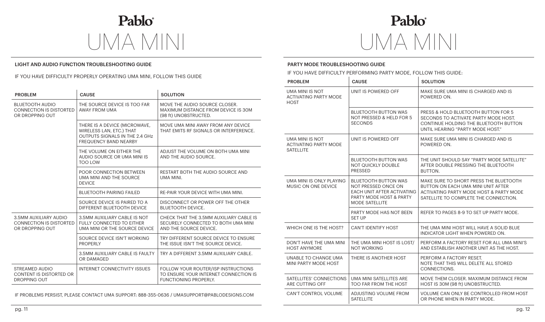Pablo® UMA MINI UMA MINI

## LIGHT AND AUDIO FUNCTION TROUBLESHOOTING GUIDE

## IF YOU HAVE DIFFICULTY PROPERLY OPERATING UMA MINI, FOLLOW THIS GUIDE

| <b>PROBLEM</b>                                                              | <b>CAUSE</b>                                                                                                                | <b>SOLUTION</b>                                                                                              |
|-----------------------------------------------------------------------------|-----------------------------------------------------------------------------------------------------------------------------|--------------------------------------------------------------------------------------------------------------|
| <b>BLUETOOTH AUDIO</b><br><b>CONNECTION IS DISTORTED</b><br>OR DROPPING OUT | THE SOURCE DEVICE IS TOO FAR<br>AWAY FROM UMA                                                                               | MOVE THE AUDIO SOURCE CLOSER.<br>MAXIMUM DISTANCE FROM DEVICE IS 30M<br>(98 ft) UNOBSTRUCTED.                |
|                                                                             | THERE IS A DEVICE (MICROWAVE,<br>WIRELESS LAN, ETC.) THAT<br>OUTPUTS SIGNALS IN THE 2.4 GHz<br><b>FREQUENCY BAND NEARBY</b> | MOVE UMA MINI AWAY FROM ANY DEVICE<br>THAT EMITS RF SIGNALS OR INTERFERENCE.                                 |
|                                                                             | THE VOLUME ON EITHER THE<br>AUDIO SOURCE OR UMA MINI IS<br>TOO LOW                                                          | ADJUST THE VOLUME ON BOTH UMA MINI<br>AND THE AUDIO SOURCE.                                                  |
|                                                                             | POOR CONNECTION BETWEEN<br>UMA MINI AND THE SOURCE<br><b>DEVICE</b>                                                         | RESTART BOTH THE AUDIO SOURCE AND<br>UMA MINI.                                                               |
|                                                                             | <b>BLUETOOTH PAIRING FAILED</b>                                                                                             | RE-PAIR YOUR DEVICE WITH UMA MINI.                                                                           |
|                                                                             | SOURCE DEVICE IS PAIRED TO A<br>DIFFERENT BLUETOOTH DEVICE                                                                  | DISCONNECT OR POWER OFF THE OTHER<br><b>BLUETOOTH DEVICE.</b>                                                |
| 3.5MM AUXILIARY AUDIO<br><b>CONNECTION IS DISTORTED</b><br>OR DROPPING OUT  | 3.5MM AUXILIARY CABLE IS NOT<br>FULLY CONNECTED TO EITHER<br>UMA MINI OR THE SOURCE DEVICE                                  | CHECK THAT THE 3.5MM AUXILIARY CABLE IS<br>SECURELY CONNECTED TO BOTH UMA MINI<br>AND THE SOURCE DEVICE.     |
|                                                                             | SOURCE DEVICE ISN'T WORKING<br><b>PROPERLY</b>                                                                              | TRY DIFFERENT SOURCE DEVICE TO ENSURE<br>THE ISSUE ISN'T THE SOURCE DEVICE.                                  |
|                                                                             | 3.5MM AUXILIARY CABLE IS FAULTY<br>OR DAMAGED                                                                               | TRY A DIFFERENT 3.5MM AUXILIARY CABLE.                                                                       |
| STREAMED AUDIO<br>CONTENT IS DISTORTED OR<br><b>DROPPING OUT</b>            | <b>INTERNET CONNECTIVITY ISSUES</b>                                                                                         | FOLLOW YOUR ROUTER/ISP INSTRUCTIONS<br>TO ENSURE YOUR INTERNET CONNECTION IS<br><b>FUNCTIONING PROPERLY.</b> |

IF PROBLEMS PERSIST, PLEASE CONTACT UMA SUPPORT: 888-355-0636 / UMASUPPORT@PABLODESIGNS.COM

Pablo®

## PARTY MODE TROUBLESHOOTING GUIDE

IF YOU HAVE DIFFICULTY PERFORMING PARTY MODE, FOLLOW THIS GUIDE:

| <b>PROBLEM</b>                                                      | <b>CAUSE</b>                                                                                                                         | <b>SOLUTION</b>                                                                                                                                                  |
|---------------------------------------------------------------------|--------------------------------------------------------------------------------------------------------------------------------------|------------------------------------------------------------------------------------------------------------------------------------------------------------------|
| UMA MINI IS NOT<br><b>ACTIVATING PARTY MODE</b><br><b>HOST</b>      | UNIT IS POWERED OFF                                                                                                                  | MAKE SURE UMA MINI IS CHARGED AND IS<br>POWERED ON.                                                                                                              |
|                                                                     | <b>BLUETOOTH BUTTON WAS</b><br>NOT PRESSED & HELD FOR 5<br><b>SECONDS</b>                                                            | PRESS & HOLD BLUETOOTH BUTTON FOR 5<br>SECONDS TO ACTIVATE PARTY MODE HOST.<br>CONTINUE HOLDING THE BLUETOOTH BUTTON<br>UNTIL HEARING "PARTY MODE HOST."         |
| UMA MINI IS NOT<br><b>ACTIVATING PARTY MODE</b><br><b>SATELLITE</b> | UNIT IS POWERED OFF                                                                                                                  | MAKE SURE UMA MINI IS CHARGED AND IS<br>POWERED ON.                                                                                                              |
|                                                                     | <b>BLUETOOTH BUTTON WAS</b><br><b>NOT QUICKLY DOUBLE</b><br>PRESSED                                                                  | THE UNIT SHOULD SAY "PARTY MODE SATELLITE"<br>AFTER DOUBLE PRESSING THE BLUETOOTH<br>BUTTON.                                                                     |
| UMA MINI IS ONLY PLAYING<br>MUSIC ON ONE DEVICE                     | <b>BLUETOOTH BUTTON WAS</b><br>NOT PRESSED ONCE ON<br>EACH UNIT AFTER ACTIVATING<br>PARTY MODE HOST & PARTY<br><b>MODE SATELLITE</b> | MAKE SURE TO SHORT PRESS THE BLUETOOTH<br>BUTTON ON EACH UMA MINI UNIT AFTER<br>ACTIVATING PARTY MODE HOST & PARTY MODE<br>SATELLITE TO COMPLETE THE CONNECTION. |
|                                                                     | PARTY MODE HAS NOT BEEN<br><b>SET UP</b>                                                                                             | REFER TO PAGES 8-9 TO SET UP PARTY MODE.                                                                                                                         |
| WHICH ONE IS THE HOST?                                              | CAN'T IDENTIFY HOST                                                                                                                  | THE UMA MINI HOST WILL HAVE A SOLID BLUE<br>INDICATOR LIGHT WHEN POWERED ON.                                                                                     |
| DON'T HAVE THE UMA MINI<br><b>HOST ANYMORE</b>                      | THE UMA MINI HOST IS LOST/<br><b>NOT WORKING</b>                                                                                     | PERFORM A FACTORY RESET FOR ALL UMA MINI'S<br>AND ESTABLISH ANOTHER UNIT AS THE HOST.                                                                            |
| UNABLE TO CHANGE UMA<br>MINI PARTY MODE HOST                        | THERE IS ANOTHER HOST                                                                                                                | PERFORM A FACTORY RESET.<br>NOTE THAT THIS WILL DELETE ALL STORED<br>CONNECTIONS.                                                                                |
| SATELLITES' CONNECTIONS<br>ARE CUTTING OFF                          | UMA MINI SATELLITES ARE<br>TOO FAR FROM THE HOST                                                                                     | MOVE THEM CLOSER, MAXIMUM DISTANCE FROM<br>HOST IS 30M (98 ft) UNOBSTRUCTED.                                                                                     |
| CAN'T CONTROL VOLUME                                                | ADJUSTING VOLUME FROM<br><b>SATELLITE</b>                                                                                            | VOLUME CAN ONLY BE CONTROLLED FROM HOST<br>OR PHONE WHEN IN PARTY MODE.                                                                                          |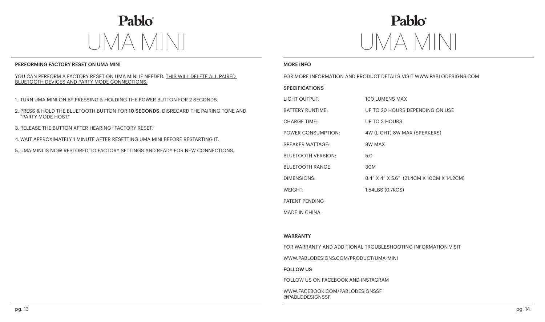Pablo® UMA MINI UMA MINI

## PERFORMING FACTORY RESET ON UMA MINI DISTURBANCE INFOURIES AND MORE INFOURIES. THE MORE INFOURIES AND MORE INFO

### YOU CAN PERFORM A FACTORY RESET ON UMA MINI IF NEEDED. THIS WILL DELETE ALL PAIRED BLUETOOTH DEVICES AND PARTY MODE CONNECTIONS.

- 1. TURN UMA MINI ON BY PRESSING & HOLDING THE POWER BUTTON FOR 2 SECONDS.
- 2. PRESS & HOLD THE BLUETOOTH BUTTON FOR 10 SECONDS. DISREGARD THE PAIRING TONE AND "PARTY MODE HOST."
- 3. RELEASE THE BUTTON AFTER HEARING "FACTORY RESET."
- 4. WAIT APPROXIMATELY 1 MINUTE AFTER RESETTING UMA MINI BEFORE RESTARTING IT.
- 5. UMA MINI IS NOW RESTORED TO FACTORY SETTINGS AND READY FOR NEW CONNECTIONS.

## Pablo

FOR MORE INFORMATION AND PRODUCT DETAILS VISIT WWW.PABLODESIGNS.COM

## **SPECIFICATIONS**

| LIGHT OUTPUT:             | 100 LUMENS MAX                               |
|---------------------------|----------------------------------------------|
| <b>BATTERY RUNTIME:</b>   | UP TO 20 HOURS DEPENDING ON USE              |
| <b>CHARGE TIME:</b>       | UP TO 3 HOURS                                |
| POWER CONSUMPTION:        | 4W (LIGHT) 8W MAX (SPEAKERS)                 |
| <b>SPEAKER WATTAGE:</b>   | 8W MAX                                       |
| <b>BLUETOOTH VERSION:</b> | 5.0                                          |
| <b>BLUETOOTH RANGE:</b>   | 30M                                          |
| DIMENSIONS:               | 8.4" X 4" X 5.6" (21.4 CM X 10 CM X 14.2 CM) |
| WEIGHT:                   | 1.54LBS (0.7KGS)                             |
| PATENT PENDING            |                                              |
| <b>MADE IN CHINA</b>      |                                              |

## WARRANTY

FOR WARRANTY AND ADDITIONAL TROUBLESHOOTING INFORMATION VISIT

WWW.PABLODESIGNS.COM/PRODUCT/UMA-MINI

## FOLLOW US

FOLLOW US ON FACEBOOK AND INSTAGRAM

WWW.FACEBOOK.COM/PABLODESIGNSSF @PABLODESIGNSSF